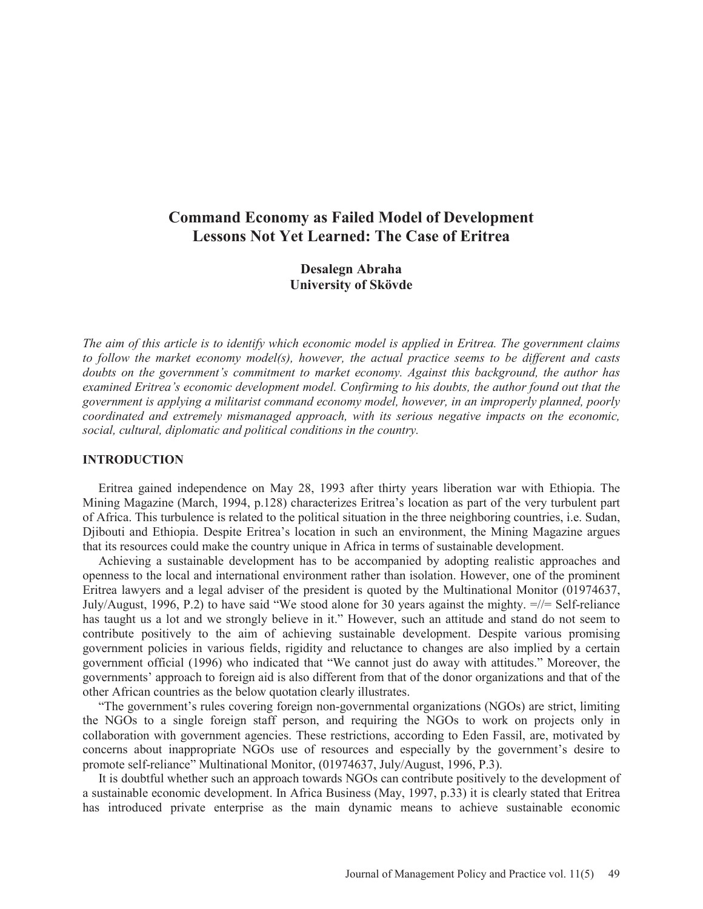# **Command Economy as Failed Model of Development Lessons Not Yet Learned: The Case of Eritrea**

**Desalegn Abraha University of Skövde** 

*The aim of this article is to identify which economic model is applied in Eritrea. The government claims to follow the market economy model(s), however, the actual practice seems to be different and casts doubts on the government's commitment to market economy. Against this background, the author has examined Eritrea's economic development model. Confirming to his doubts, the author found out that the government is applying a militarist command economy model, however, in an improperly planned, poorly coordinated and extremely mismanaged approach, with its serious negative impacts on the economic, social, cultural, diplomatic and political conditions in the country.* 

### **INTRODUCTION**

 Eritrea gained independence on May 28, 1993 after thirty years liberation war with Ethiopia. The Mining Magazine (March, 1994, p.128) characterizes Eritrea's location as part of the very turbulent part of Africa. This turbulence is related to the political situation in the three neighboring countries, i.e. Sudan, Djibouti and Ethiopia. Despite Eritrea's location in such an environment, the Mining Magazine argues that its resources could make the country unique in Africa in terms of sustainable development.

 Achieving a sustainable development has to be accompanied by adopting realistic approaches and openness to the local and international environment rather than isolation. However, one of the prominent Eritrea lawyers and a legal adviser of the president is quoted by the Multinational Monitor (01974637, July/August, 1996, P.2) to have said "We stood alone for 30 years against the mighty. =//= Self-reliance has taught us a lot and we strongly believe in it." However, such an attitude and stand do not seem to contribute positively to the aim of achieving sustainable development. Despite various promising government policies in various fields, rigidity and reluctance to changes are also implied by a certain government official (1996) who indicated that "We cannot just do away with attitudes." Moreover, the governments' approach to foreign aid is also different from that of the donor organizations and that of the other African countries as the below quotation clearly illustrates.

 "The government's rules covering foreign non-governmental organizations (NGOs) are strict, limiting the NGOs to a single foreign staff person, and requiring the NGOs to work on projects only in collaboration with government agencies. These restrictions, according to Eden Fassil, are, motivated by concerns about inappropriate NGOs use of resources and especially by the government's desire to promote self-reliance" Multinational Monitor, (01974637, July/August, 1996, P.3).

 It is doubtful whether such an approach towards NGOs can contribute positively to the development of a sustainable economic development. In Africa Business (May, 1997, p.33) it is clearly stated that Eritrea has introduced private enterprise as the main dynamic means to achieve sustainable economic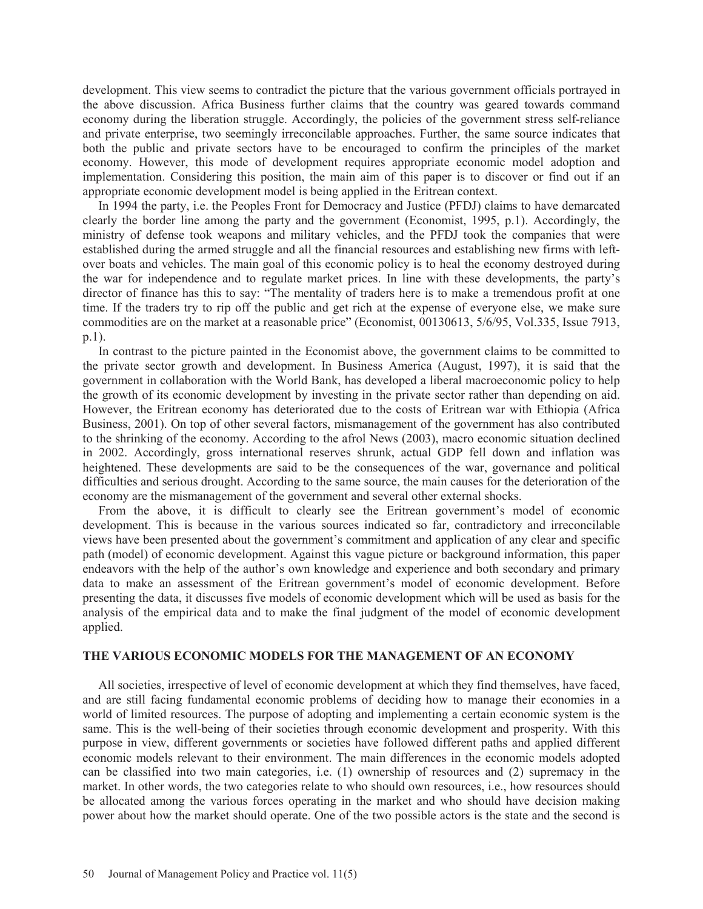development. This view seems to contradict the picture that the various government officials portrayed in the above discussion. Africa Business further claims that the country was geared towards command economy during the liberation struggle. Accordingly, the policies of the government stress self-reliance and private enterprise, two seemingly irreconcilable approaches. Further, the same source indicates that both the public and private sectors have to be encouraged to confirm the principles of the market economy. However, this mode of development requires appropriate economic model adoption and implementation. Considering this position, the main aim of this paper is to discover or find out if an appropriate economic development model is being applied in the Eritrean context.

 In 1994 the party, i.e. the Peoples Front for Democracy and Justice (PFDJ) claims to have demarcated clearly the border line among the party and the government (Economist, 1995, p.1). Accordingly, the ministry of defense took weapons and military vehicles, and the PFDJ took the companies that were established during the armed struggle and all the financial resources and establishing new firms with leftover boats and vehicles. The main goal of this economic policy is to heal the economy destroyed during the war for independence and to regulate market prices. In line with these developments, the party's director of finance has this to say: "The mentality of traders here is to make a tremendous profit at one time. If the traders try to rip off the public and get rich at the expense of everyone else, we make sure commodities are on the market at a reasonable price" (Economist, 00130613, 5/6/95, Vol.335, Issue 7913, p.1).

 In contrast to the picture painted in the Economist above, the government claims to be committed to the private sector growth and development. In Business America (August, 1997), it is said that the government in collaboration with the World Bank, has developed a liberal macroeconomic policy to help the growth of its economic development by investing in the private sector rather than depending on aid. However, the Eritrean economy has deteriorated due to the costs of Eritrean war with Ethiopia (Africa Business, 2001). On top of other several factors, mismanagement of the government has also contributed to the shrinking of the economy. According to the afrol News (2003), macro economic situation declined in 2002. Accordingly, gross international reserves shrunk, actual GDP fell down and inflation was heightened. These developments are said to be the consequences of the war, governance and political difficulties and serious drought. According to the same source, the main causes for the deterioration of the economy are the mismanagement of the government and several other external shocks.

 From the above, it is difficult to clearly see the Eritrean government's model of economic development. This is because in the various sources indicated so far, contradictory and irreconcilable views have been presented about the government's commitment and application of any clear and specific path (model) of economic development. Against this vague picture or background information, this paper endeavors with the help of the author's own knowledge and experience and both secondary and primary data to make an assessment of the Eritrean government's model of economic development. Before presenting the data, it discusses five models of economic development which will be used as basis for the analysis of the empirical data and to make the final judgment of the model of economic development applied.

# **THE VARIOUS ECONOMIC MODELS FOR THE MANAGEMENT OF AN ECONOMY**

 All societies, irrespective of level of economic development at which they find themselves, have faced, and are still facing fundamental economic problems of deciding how to manage their economies in a world of limited resources. The purpose of adopting and implementing a certain economic system is the same. This is the well-being of their societies through economic development and prosperity. With this purpose in view, different governments or societies have followed different paths and applied different economic models relevant to their environment. The main differences in the economic models adopted can be classified into two main categories, i.e. (1) ownership of resources and (2) supremacy in the market. In other words, the two categories relate to who should own resources, i.e., how resources should be allocated among the various forces operating in the market and who should have decision making power about how the market should operate. One of the two possible actors is the state and the second is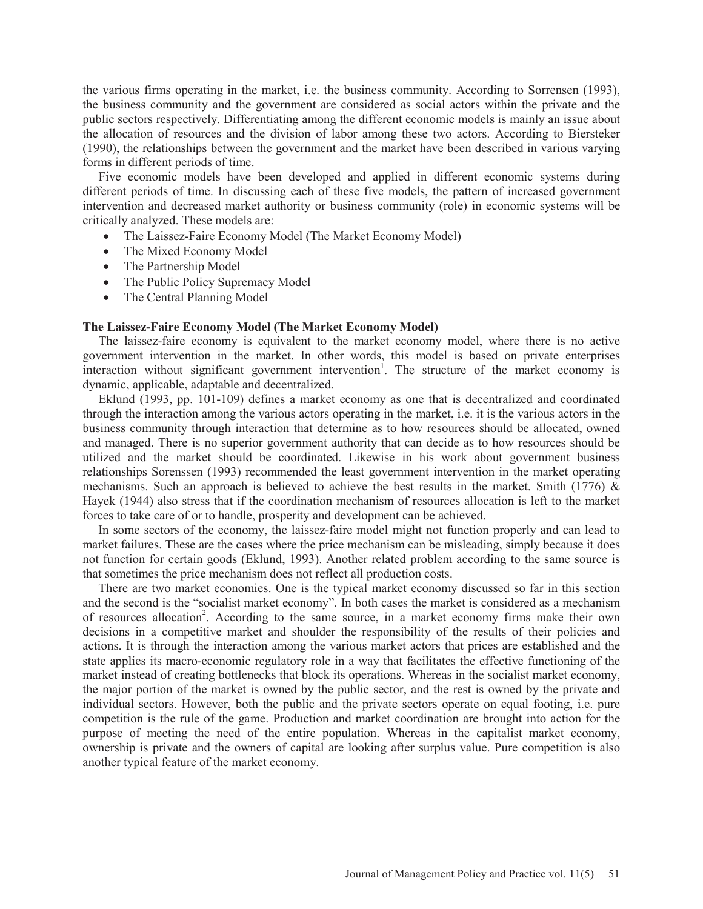the various firms operating in the market, i.e. the business community. According to Sorrensen (1993), the business community and the government are considered as social actors within the private and the public sectors respectively. Differentiating among the different economic models is mainly an issue about the allocation of resources and the division of labor among these two actors. According to Biersteker (1990), the relationships between the government and the market have been described in various varying forms in different periods of time.

 Five economic models have been developed and applied in different economic systems during different periods of time. In discussing each of these five models, the pattern of increased government intervention and decreased market authority or business community (role) in economic systems will be critically analyzed. These models are:

- The Laissez-Faire Economy Model (The Market Economy Model)
- The Mixed Economy Model
- The Partnership Model
- The Public Policy Supremacy Model
- The Central Planning Model

### **The Laissez-Faire Economy Model (The Market Economy Model)**

 The laissez-faire economy is equivalent to the market economy model, where there is no active government intervention in the market. In other words, this model is based on private enterprises interaction without significant government intervention<sup>1</sup>. The structure of the market economy is dynamic, applicable, adaptable and decentralized.

 Eklund (1993, pp. 101-109) defines a market economy as one that is decentralized and coordinated through the interaction among the various actors operating in the market, i.e. it is the various actors in the business community through interaction that determine as to how resources should be allocated, owned and managed. There is no superior government authority that can decide as to how resources should be utilized and the market should be coordinated. Likewise in his work about government business relationships Sorenssen (1993) recommended the least government intervention in the market operating mechanisms. Such an approach is believed to achieve the best results in the market. Smith (1776)  $\&$ Hayek (1944) also stress that if the coordination mechanism of resources allocation is left to the market forces to take care of or to handle, prosperity and development can be achieved.

 In some sectors of the economy, the laissez-faire model might not function properly and can lead to market failures. These are the cases where the price mechanism can be misleading, simply because it does not function for certain goods (Eklund, 1993). Another related problem according to the same source is that sometimes the price mechanism does not reflect all production costs.

 There are two market economies. One is the typical market economy discussed so far in this section and the second is the "socialist market economy". In both cases the market is considered as a mechanism of resources allocation<sup>2</sup>. According to the same source, in a market economy firms make their own decisions in a competitive market and shoulder the responsibility of the results of their policies and actions. It is through the interaction among the various market actors that prices are established and the state applies its macro-economic regulatory role in a way that facilitates the effective functioning of the market instead of creating bottlenecks that block its operations. Whereas in the socialist market economy, the major portion of the market is owned by the public sector, and the rest is owned by the private and individual sectors. However, both the public and the private sectors operate on equal footing, i.e. pure competition is the rule of the game. Production and market coordination are brought into action for the purpose of meeting the need of the entire population. Whereas in the capitalist market economy, ownership is private and the owners of capital are looking after surplus value. Pure competition is also another typical feature of the market economy.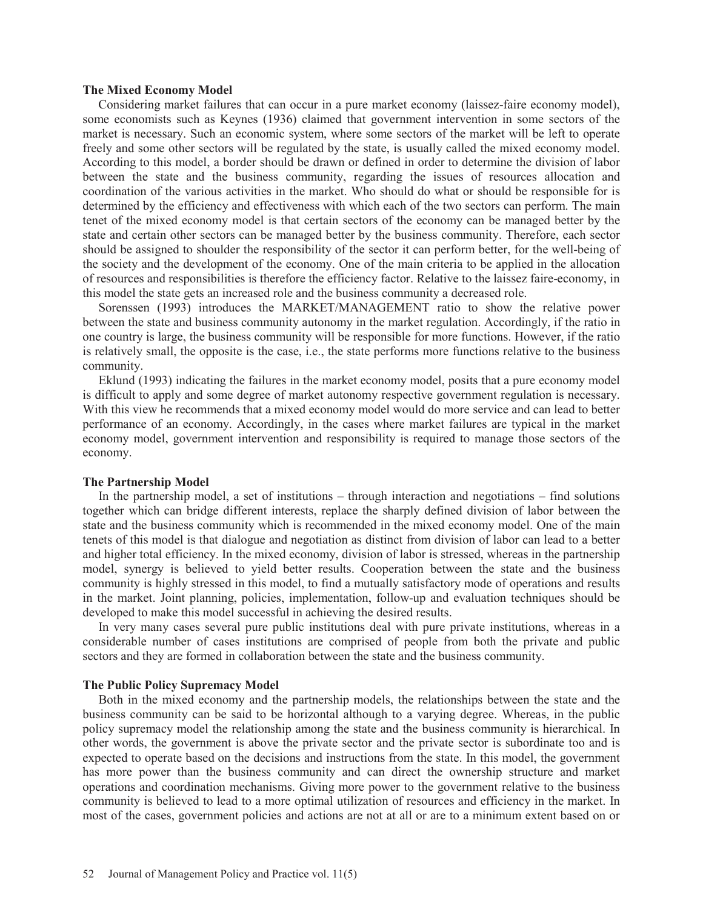### **The Mixed Economy Model**

 Considering market failures that can occur in a pure market economy (laissez-faire economy model), some economists such as Keynes (1936) claimed that government intervention in some sectors of the market is necessary. Such an economic system, where some sectors of the market will be left to operate freely and some other sectors will be regulated by the state, is usually called the mixed economy model. According to this model, a border should be drawn or defined in order to determine the division of labor between the state and the business community, regarding the issues of resources allocation and coordination of the various activities in the market. Who should do what or should be responsible for is determined by the efficiency and effectiveness with which each of the two sectors can perform. The main tenet of the mixed economy model is that certain sectors of the economy can be managed better by the state and certain other sectors can be managed better by the business community. Therefore, each sector should be assigned to shoulder the responsibility of the sector it can perform better, for the well-being of the society and the development of the economy. One of the main criteria to be applied in the allocation of resources and responsibilities is therefore the efficiency factor. Relative to the laissez faire-economy, in this model the state gets an increased role and the business community a decreased role.

 Sorenssen (1993) introduces the MARKET/MANAGEMENT ratio to show the relative power between the state and business community autonomy in the market regulation. Accordingly, if the ratio in one country is large, the business community will be responsible for more functions. However, if the ratio is relatively small, the opposite is the case, i.e., the state performs more functions relative to the business community.

 Eklund (1993) indicating the failures in the market economy model, posits that a pure economy model is difficult to apply and some degree of market autonomy respective government regulation is necessary. With this view he recommends that a mixed economy model would do more service and can lead to better performance of an economy. Accordingly, in the cases where market failures are typical in the market economy model, government intervention and responsibility is required to manage those sectors of the economy.

#### **The Partnership Model**

 In the partnership model, a set of institutions – through interaction and negotiations – find solutions together which can bridge different interests, replace the sharply defined division of labor between the state and the business community which is recommended in the mixed economy model. One of the main tenets of this model is that dialogue and negotiation as distinct from division of labor can lead to a better and higher total efficiency. In the mixed economy, division of labor is stressed, whereas in the partnership model, synergy is believed to yield better results. Cooperation between the state and the business community is highly stressed in this model, to find a mutually satisfactory mode of operations and results in the market. Joint planning, policies, implementation, follow-up and evaluation techniques should be developed to make this model successful in achieving the desired results.

 In very many cases several pure public institutions deal with pure private institutions, whereas in a considerable number of cases institutions are comprised of people from both the private and public sectors and they are formed in collaboration between the state and the business community.

### **The Public Policy Supremacy Model**

 Both in the mixed economy and the partnership models, the relationships between the state and the business community can be said to be horizontal although to a varying degree. Whereas, in the public policy supremacy model the relationship among the state and the business community is hierarchical. In other words, the government is above the private sector and the private sector is subordinate too and is expected to operate based on the decisions and instructions from the state. In this model, the government has more power than the business community and can direct the ownership structure and market operations and coordination mechanisms. Giving more power to the government relative to the business community is believed to lead to a more optimal utilization of resources and efficiency in the market. In most of the cases, government policies and actions are not at all or are to a minimum extent based on or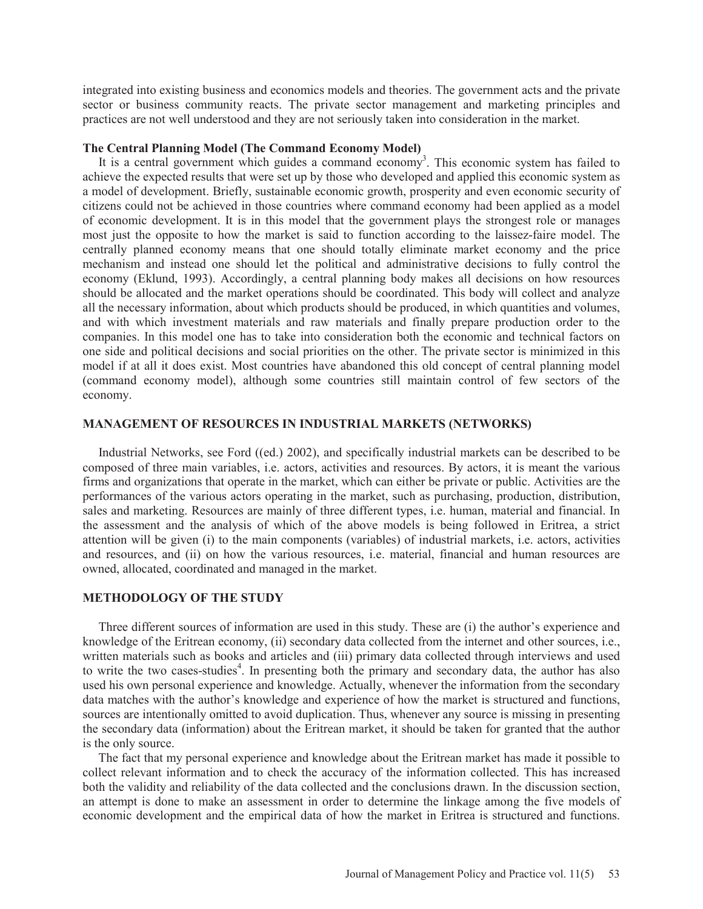integrated into existing business and economics models and theories. The government acts and the private sector or business community reacts. The private sector management and marketing principles and practices are not well understood and they are not seriously taken into consideration in the market.

### **The Central Planning Model (The Command Economy Model)**

It is a central government which guides a command economy<sup>3</sup>. This economic system has failed to achieve the expected results that were set up by those who developed and applied this economic system as a model of development. Briefly, sustainable economic growth, prosperity and even economic security of citizens could not be achieved in those countries where command economy had been applied as a model of economic development. It is in this model that the government plays the strongest role or manages most just the opposite to how the market is said to function according to the laissez-faire model. The centrally planned economy means that one should totally eliminate market economy and the price mechanism and instead one should let the political and administrative decisions to fully control the economy (Eklund, 1993). Accordingly, a central planning body makes all decisions on how resources should be allocated and the market operations should be coordinated. This body will collect and analyze all the necessary information, about which products should be produced, in which quantities and volumes, and with which investment materials and raw materials and finally prepare production order to the companies. In this model one has to take into consideration both the economic and technical factors on one side and political decisions and social priorities on the other. The private sector is minimized in this model if at all it does exist. Most countries have abandoned this old concept of central planning model (command economy model), although some countries still maintain control of few sectors of the economy.

### **MANAGEMENT OF RESOURCES IN INDUSTRIAL MARKETS (NETWORKS)**

 Industrial Networks, see Ford ((ed.) 2002), and specifically industrial markets can be described to be composed of three main variables, i.e. actors, activities and resources. By actors, it is meant the various firms and organizations that operate in the market, which can either be private or public. Activities are the performances of the various actors operating in the market, such as purchasing, production, distribution, sales and marketing. Resources are mainly of three different types, i.e. human, material and financial. In the assessment and the analysis of which of the above models is being followed in Eritrea, a strict attention will be given (i) to the main components (variables) of industrial markets, i.e. actors, activities and resources, and (ii) on how the various resources, i.e. material, financial and human resources are owned, allocated, coordinated and managed in the market.

# **METHODOLOGY OF THE STUDY**

 Three different sources of information are used in this study. These are (i) the author's experience and knowledge of the Eritrean economy, (ii) secondary data collected from the internet and other sources, i.e., written materials such as books and articles and (iii) primary data collected through interviews and used to write the two cases-studies<sup>4</sup>. In presenting both the primary and secondary data, the author has also used his own personal experience and knowledge. Actually, whenever the information from the secondary data matches with the author's knowledge and experience of how the market is structured and functions, sources are intentionally omitted to avoid duplication. Thus, whenever any source is missing in presenting the secondary data (information) about the Eritrean market, it should be taken for granted that the author is the only source.

 The fact that my personal experience and knowledge about the Eritrean market has made it possible to collect relevant information and to check the accuracy of the information collected. This has increased both the validity and reliability of the data collected and the conclusions drawn. In the discussion section, an attempt is done to make an assessment in order to determine the linkage among the five models of economic development and the empirical data of how the market in Eritrea is structured and functions.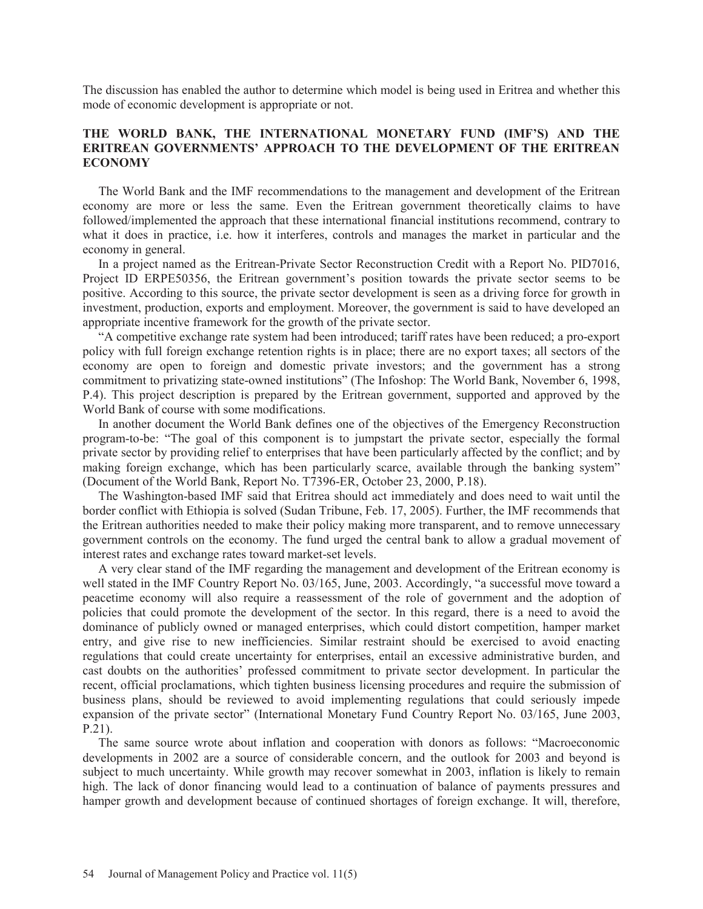The discussion has enabled the author to determine which model is being used in Eritrea and whether this mode of economic development is appropriate or not.

# **THE WORLD BANK, THE INTERNATIONAL MONETARY FUND (IMF'S) AND THE ERITREAN GOVERNMENTS' APPROACH TO THE DEVELOPMENT OF THE ERITREAN ECONOMY**

 The World Bank and the IMF recommendations to the management and development of the Eritrean economy are more or less the same. Even the Eritrean government theoretically claims to have followed/implemented the approach that these international financial institutions recommend, contrary to what it does in practice, i.e. how it interferes, controls and manages the market in particular and the economy in general.

 In a project named as the Eritrean-Private Sector Reconstruction Credit with a Report No. PID7016, Project ID ERPE50356, the Eritrean government's position towards the private sector seems to be positive. According to this source, the private sector development is seen as a driving force for growth in investment, production, exports and employment. Moreover, the government is said to have developed an appropriate incentive framework for the growth of the private sector.

 "A competitive exchange rate system had been introduced; tariff rates have been reduced; a pro-export policy with full foreign exchange retention rights is in place; there are no export taxes; all sectors of the economy are open to foreign and domestic private investors; and the government has a strong commitment to privatizing state-owned institutions" (The Infoshop: The World Bank, November 6, 1998, P.4). This project description is prepared by the Eritrean government, supported and approved by the World Bank of course with some modifications.

 In another document the World Bank defines one of the objectives of the Emergency Reconstruction program-to-be: "The goal of this component is to jumpstart the private sector, especially the formal private sector by providing relief to enterprises that have been particularly affected by the conflict; and by making foreign exchange, which has been particularly scarce, available through the banking system" (Document of the World Bank, Report No. T7396-ER, October 23, 2000, P.18).

 The Washington-based IMF said that Eritrea should act immediately and does need to wait until the border conflict with Ethiopia is solved (Sudan Tribune, Feb. 17, 2005). Further, the IMF recommends that the Eritrean authorities needed to make their policy making more transparent, and to remove unnecessary government controls on the economy. The fund urged the central bank to allow a gradual movement of interest rates and exchange rates toward market-set levels.

 A very clear stand of the IMF regarding the management and development of the Eritrean economy is well stated in the IMF Country Report No. 03/165, June, 2003. Accordingly, "a successful move toward a peacetime economy will also require a reassessment of the role of government and the adoption of policies that could promote the development of the sector. In this regard, there is a need to avoid the dominance of publicly owned or managed enterprises, which could distort competition, hamper market entry, and give rise to new inefficiencies. Similar restraint should be exercised to avoid enacting regulations that could create uncertainty for enterprises, entail an excessive administrative burden, and cast doubts on the authorities' professed commitment to private sector development. In particular the recent, official proclamations, which tighten business licensing procedures and require the submission of business plans, should be reviewed to avoid implementing regulations that could seriously impede expansion of the private sector" (International Monetary Fund Country Report No. 03/165, June 2003, P.21).

 The same source wrote about inflation and cooperation with donors as follows: "Macroeconomic developments in 2002 are a source of considerable concern, and the outlook for 2003 and beyond is subject to much uncertainty. While growth may recover somewhat in 2003, inflation is likely to remain high. The lack of donor financing would lead to a continuation of balance of payments pressures and hamper growth and development because of continued shortages of foreign exchange. It will, therefore,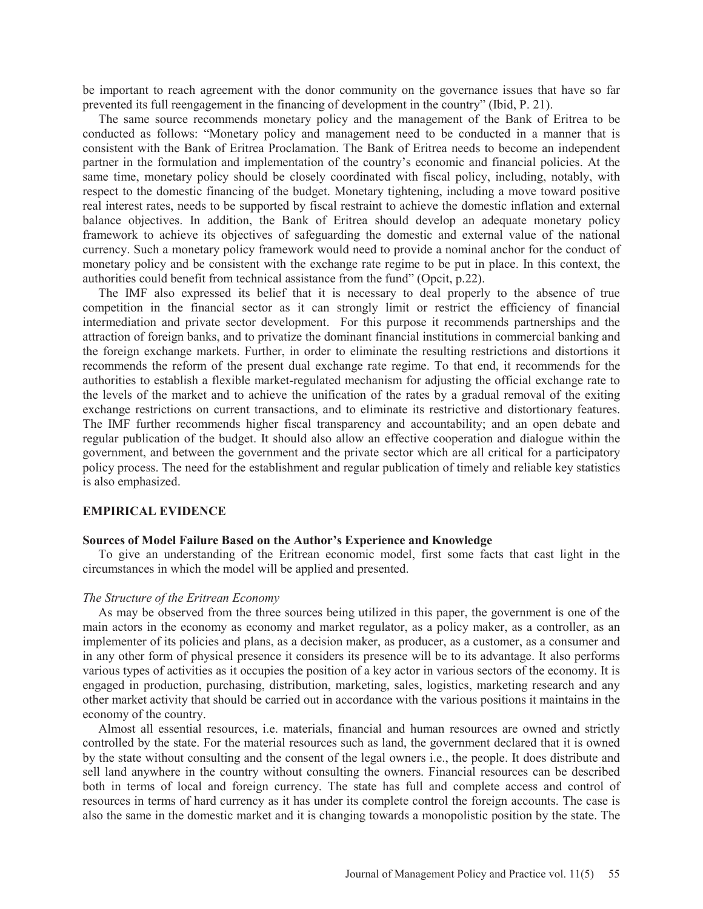be important to reach agreement with the donor community on the governance issues that have so far prevented its full reengagement in the financing of development in the country" (Ibid, P. 21).

 The same source recommends monetary policy and the management of the Bank of Eritrea to be conducted as follows: "Monetary policy and management need to be conducted in a manner that is consistent with the Bank of Eritrea Proclamation. The Bank of Eritrea needs to become an independent partner in the formulation and implementation of the country's economic and financial policies. At the same time, monetary policy should be closely coordinated with fiscal policy, including, notably, with respect to the domestic financing of the budget. Monetary tightening, including a move toward positive real interest rates, needs to be supported by fiscal restraint to achieve the domestic inflation and external balance objectives. In addition, the Bank of Eritrea should develop an adequate monetary policy framework to achieve its objectives of safeguarding the domestic and external value of the national currency. Such a monetary policy framework would need to provide a nominal anchor for the conduct of monetary policy and be consistent with the exchange rate regime to be put in place. In this context, the authorities could benefit from technical assistance from the fund" (Opcit, p.22).

 The IMF also expressed its belief that it is necessary to deal properly to the absence of true competition in the financial sector as it can strongly limit or restrict the efficiency of financial intermediation and private sector development. For this purpose it recommends partnerships and the attraction of foreign banks, and to privatize the dominant financial institutions in commercial banking and the foreign exchange markets. Further, in order to eliminate the resulting restrictions and distortions it recommends the reform of the present dual exchange rate regime. To that end, it recommends for the authorities to establish a flexible market-regulated mechanism for adjusting the official exchange rate to the levels of the market and to achieve the unification of the rates by a gradual removal of the exiting exchange restrictions on current transactions, and to eliminate its restrictive and distortionary features. The IMF further recommends higher fiscal transparency and accountability; and an open debate and regular publication of the budget. It should also allow an effective cooperation and dialogue within the government, and between the government and the private sector which are all critical for a participatory policy process. The need for the establishment and regular publication of timely and reliable key statistics is also emphasized.

#### **EMPIRICAL EVIDENCE**

#### **Sources of Model Failure Based on the Author's Experience and Knowledge**

 To give an understanding of the Eritrean economic model, first some facts that cast light in the circumstances in which the model will be applied and presented.

### *The Structure of the Eritrean Economy*

 As may be observed from the three sources being utilized in this paper, the government is one of the main actors in the economy as economy and market regulator, as a policy maker, as a controller, as an implementer of its policies and plans, as a decision maker, as producer, as a customer, as a consumer and in any other form of physical presence it considers its presence will be to its advantage. It also performs various types of activities as it occupies the position of a key actor in various sectors of the economy. It is engaged in production, purchasing, distribution, marketing, sales, logistics, marketing research and any other market activity that should be carried out in accordance with the various positions it maintains in the economy of the country.

 Almost all essential resources, i.e. materials, financial and human resources are owned and strictly controlled by the state. For the material resources such as land, the government declared that it is owned by the state without consulting and the consent of the legal owners i.e., the people. It does distribute and sell land anywhere in the country without consulting the owners. Financial resources can be described both in terms of local and foreign currency. The state has full and complete access and control of resources in terms of hard currency as it has under its complete control the foreign accounts. The case is also the same in the domestic market and it is changing towards a monopolistic position by the state. The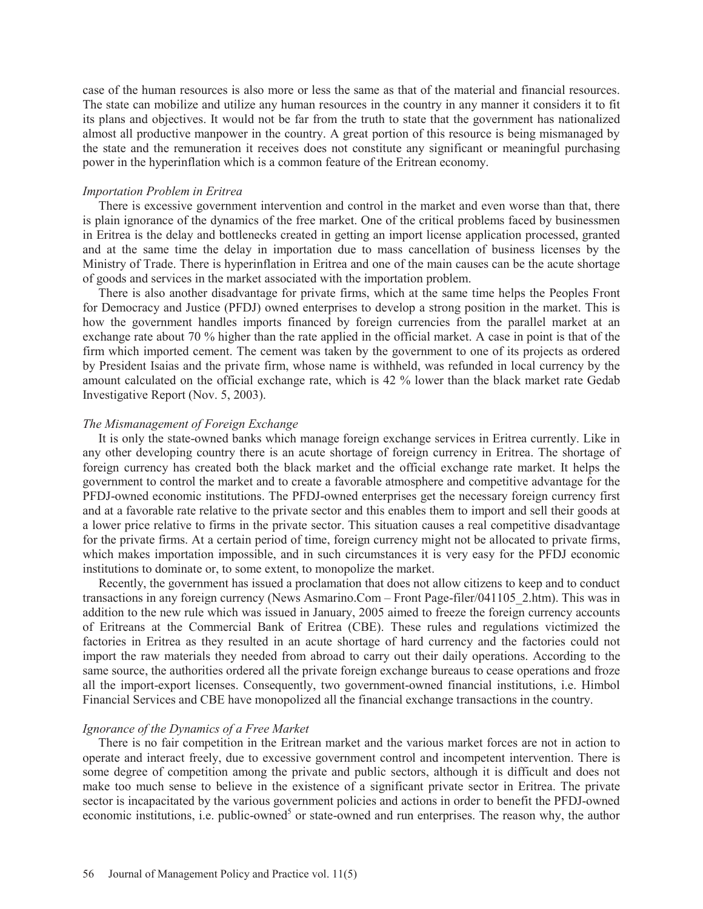case of the human resources is also more or less the same as that of the material and financial resources. The state can mobilize and utilize any human resources in the country in any manner it considers it to fit its plans and objectives. It would not be far from the truth to state that the government has nationalized almost all productive manpower in the country. A great portion of this resource is being mismanaged by the state and the remuneration it receives does not constitute any significant or meaningful purchasing power in the hyperinflation which is a common feature of the Eritrean economy.

### *Importation Problem in Eritrea*

 There is excessive government intervention and control in the market and even worse than that, there is plain ignorance of the dynamics of the free market. One of the critical problems faced by businessmen in Eritrea is the delay and bottlenecks created in getting an import license application processed, granted and at the same time the delay in importation due to mass cancellation of business licenses by the Ministry of Trade. There is hyperinflation in Eritrea and one of the main causes can be the acute shortage of goods and services in the market associated with the importation problem.

 There is also another disadvantage for private firms, which at the same time helps the Peoples Front for Democracy and Justice (PFDJ) owned enterprises to develop a strong position in the market. This is how the government handles imports financed by foreign currencies from the parallel market at an exchange rate about 70 % higher than the rate applied in the official market. A case in point is that of the firm which imported cement. The cement was taken by the government to one of its projects as ordered by President Isaias and the private firm, whose name is withheld, was refunded in local currency by the amount calculated on the official exchange rate, which is 42 % lower than the black market rate Gedab Investigative Report (Nov. 5, 2003).

### *The Mismanagement of Foreign Exchange*

 It is only the state-owned banks which manage foreign exchange services in Eritrea currently. Like in any other developing country there is an acute shortage of foreign currency in Eritrea. The shortage of foreign currency has created both the black market and the official exchange rate market. It helps the government to control the market and to create a favorable atmosphere and competitive advantage for the PFDJ-owned economic institutions. The PFDJ-owned enterprises get the necessary foreign currency first and at a favorable rate relative to the private sector and this enables them to import and sell their goods at a lower price relative to firms in the private sector. This situation causes a real competitive disadvantage for the private firms. At a certain period of time, foreign currency might not be allocated to private firms, which makes importation impossible, and in such circumstances it is very easy for the PFDJ economic institutions to dominate or, to some extent, to monopolize the market.

 Recently, the government has issued a proclamation that does not allow citizens to keep and to conduct transactions in any foreign currency (News Asmarino.Com – Front Page-filer/041105\_2.htm). This was in addition to the new rule which was issued in January, 2005 aimed to freeze the foreign currency accounts of Eritreans at the Commercial Bank of Eritrea (CBE). These rules and regulations victimized the factories in Eritrea as they resulted in an acute shortage of hard currency and the factories could not import the raw materials they needed from abroad to carry out their daily operations. According to the same source, the authorities ordered all the private foreign exchange bureaus to cease operations and froze all the import-export licenses. Consequently, two government-owned financial institutions, i.e. Himbol Financial Services and CBE have monopolized all the financial exchange transactions in the country.

### *Ignorance of the Dynamics of a Free Market*

 There is no fair competition in the Eritrean market and the various market forces are not in action to operate and interact freely, due to excessive government control and incompetent intervention. There is some degree of competition among the private and public sectors, although it is difficult and does not make too much sense to believe in the existence of a significant private sector in Eritrea. The private sector is incapacitated by the various government policies and actions in order to benefit the PFDJ-owned economic institutions, i.e. public-owned<sup>5</sup> or state-owned and run enterprises. The reason why, the author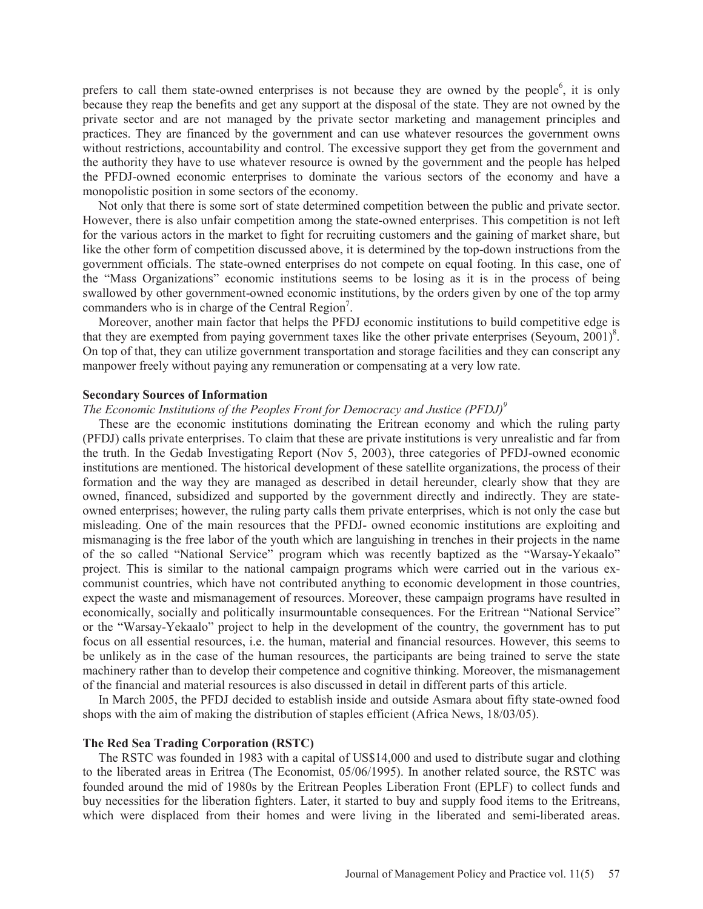prefers to call them state-owned enterprises is not because they are owned by the people<sup>6</sup>, it is only because they reap the benefits and get any support at the disposal of the state. They are not owned by the private sector and are not managed by the private sector marketing and management principles and practices. They are financed by the government and can use whatever resources the government owns without restrictions, accountability and control. The excessive support they get from the government and the authority they have to use whatever resource is owned by the government and the people has helped the PFDJ-owned economic enterprises to dominate the various sectors of the economy and have a monopolistic position in some sectors of the economy.

 Not only that there is some sort of state determined competition between the public and private sector. However, there is also unfair competition among the state-owned enterprises. This competition is not left for the various actors in the market to fight for recruiting customers and the gaining of market share, but like the other form of competition discussed above, it is determined by the top-down instructions from the government officials. The state-owned enterprises do not compete on equal footing. In this case, one of the "Mass Organizations" economic institutions seems to be losing as it is in the process of being swallowed by other government-owned economic institutions, by the orders given by one of the top army commanders who is in charge of the Central Region<sup>7</sup>.

 Moreover, another main factor that helps the PFDJ economic institutions to build competitive edge is that they are exempted from paying government taxes like the other private enterprises (Seyoum,  $2001$ )<sup>8</sup>. On top of that, they can utilize government transportation and storage facilities and they can conscript any manpower freely without paying any remuneration or compensating at a very low rate.

#### **Secondary Sources of Information**

#### *The Economic Institutions of the Peoples Front for Democracy and Justice (PFDJ)*<sup>9</sup>

 These are the economic institutions dominating the Eritrean economy and which the ruling party (PFDJ) calls private enterprises. To claim that these are private institutions is very unrealistic and far from the truth. In the Gedab Investigating Report (Nov 5, 2003), three categories of PFDJ-owned economic institutions are mentioned. The historical development of these satellite organizations, the process of their formation and the way they are managed as described in detail hereunder, clearly show that they are owned, financed, subsidized and supported by the government directly and indirectly. They are stateowned enterprises; however, the ruling party calls them private enterprises, which is not only the case but misleading. One of the main resources that the PFDJ- owned economic institutions are exploiting and mismanaging is the free labor of the youth which are languishing in trenches in their projects in the name of the so called "National Service" program which was recently baptized as the "Warsay-Yekaalo" project. This is similar to the national campaign programs which were carried out in the various excommunist countries, which have not contributed anything to economic development in those countries, expect the waste and mismanagement of resources. Moreover, these campaign programs have resulted in economically, socially and politically insurmountable consequences. For the Eritrean "National Service" or the "Warsay-Yekaalo" project to help in the development of the country, the government has to put focus on all essential resources, i.e. the human, material and financial resources. However, this seems to be unlikely as in the case of the human resources, the participants are being trained to serve the state machinery rather than to develop their competence and cognitive thinking. Moreover, the mismanagement of the financial and material resources is also discussed in detail in different parts of this article.

 In March 2005, the PFDJ decided to establish inside and outside Asmara about fifty state-owned food shops with the aim of making the distribution of staples efficient (Africa News, 18/03/05).

### **The Red Sea Trading Corporation (RSTC)**

 The RSTC was founded in 1983 with a capital of US\$14,000 and used to distribute sugar and clothing to the liberated areas in Eritrea (The Economist, 05/06/1995). In another related source, the RSTC was founded around the mid of 1980s by the Eritrean Peoples Liberation Front (EPLF) to collect funds and buy necessities for the liberation fighters. Later, it started to buy and supply food items to the Eritreans, which were displaced from their homes and were living in the liberated and semi-liberated areas.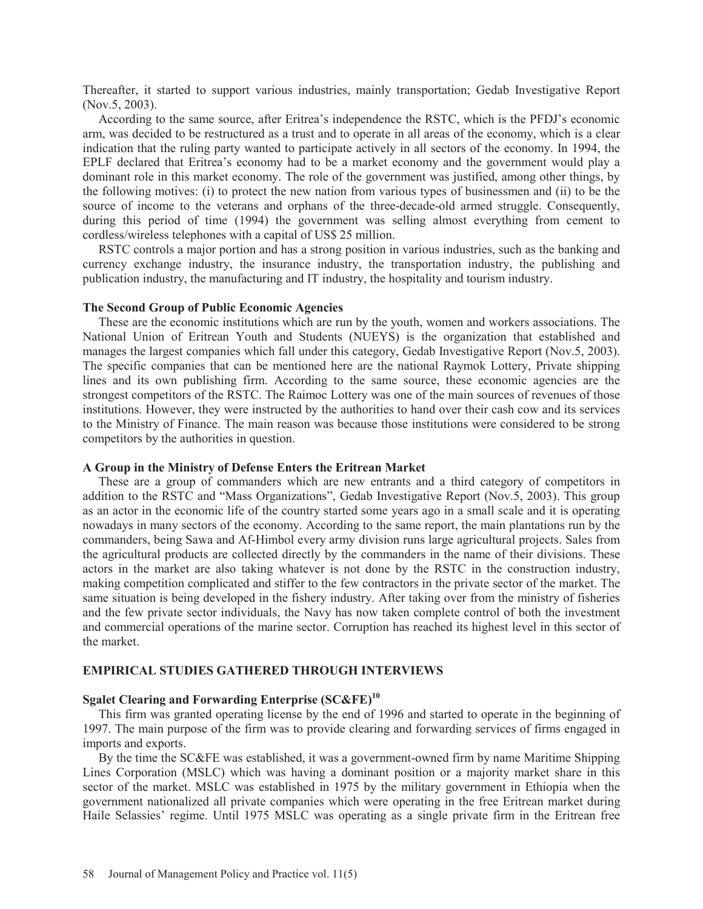Thereafter, it started to support various industries, mainly transportation; Gedab Investigative Report (Nov.5, 2003).

 According to the same source, after Eritrea's independence the RSTC, which is the PFDJ's economic arm, was decided to be restructured as a trust and to operate in all areas of the economy, which is a clear indication that the ruling party wanted to participate actively in all sectors of the economy. In 1994, the EPLF declared that Eritrea's economy had to be a market economy and the government would play a dominant role in this market economy. The role of the government was justified, among other things, by the following motives: (i) to protect the new nation from various types of businessmen and (ii) to be the source of income to the veterans and orphans of the three-decade-old armed struggle. Consequently, during this period of time (1994) the government was selling almost everything from cement to cordless/wireless telephones with a capital of US\$ 25 million.

 RSTC controls a major portion and has a strong position in various industries, such as the banking and currency exchange industry, the insurance industry, the transportation industry, the publishing and publication industry, the manufacturing and IT industry, the hospitality and tourism industry.

#### **The Second Group of Public Economic Agencies**

 These are the economic institutions which are run by the youth, women and workers associations. The National Union of Eritrean Youth and Students (NUEYS) is the organization that established and manages the largest companies which fall under this category, Gedab Investigative Report (Nov.5, 2003). The specific companies that can be mentioned here are the national Raymok Lottery, Private shipping lines and its own publishing firm. According to the same source, these economic agencies are the strongest competitors of the RSTC. The Raimoc Lottery was one of the main sources of revenues of those institutions. However, they were instructed by the authorities to hand over their cash cow and its services to the Ministry of Finance. The main reason was because those institutions were considered to be strong competitors by the authorities in question.

# **A Group in the Ministry of Defense Enters the Eritrean Market**

 These are a group of commanders which are new entrants and a third category of competitors in addition to the RSTC and "Mass Organizations", Gedab Investigative Report (Nov.5, 2003). This group as an actor in the economic life of the country started some years ago in a small scale and it is operating nowadays in many sectors of the economy. According to the same report, the main plantations run by the commanders, being Sawa and Af-Himbol every army division runs large agricultural projects. Sales from the agricultural products are collected directly by the commanders in the name of their divisions. These actors in the market are also taking whatever is not done by the RSTC in the construction industry, making competition complicated and stiffer to the few contractors in the private sector of the market. The same situation is being developed in the fishery industry. After taking over from the ministry of fisheries and the few private sector individuals, the Navy has now taken complete control of both the investment and commercial operations of the marine sector. Corruption has reached its highest level in this sector of the market.

### **EMPIRICAL STUDIES GATHERED THROUGH INTERVIEWS**

# **Sgalet Clearing and Forwarding Enterprise (SC&FE)<sup>10</sup>**

 This firm was granted operating license by the end of 1996 and started to operate in the beginning of 1997. The main purpose of the firm was to provide clearing and forwarding services of firms engaged in imports and exports.

 By the time the SC&FE was established, it was a government-owned firm by name Maritime Shipping Lines Corporation (MSLC) which was having a dominant position or a majority market share in this sector of the market. MSLC was established in 1975 by the military government in Ethiopia when the government nationalized all private companies which were operating in the free Eritrean market during Haile Selassies' regime. Until 1975 MSLC was operating as a single private firm in the Eritrean free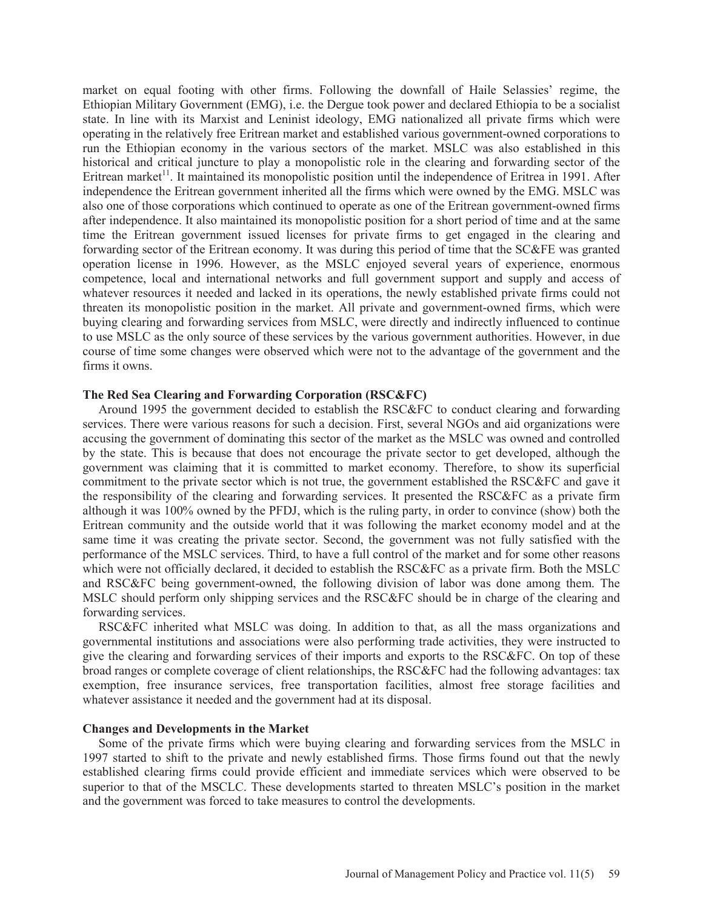market on equal footing with other firms. Following the downfall of Haile Selassies' regime, the Ethiopian Military Government (EMG), i.e. the Dergue took power and declared Ethiopia to be a socialist state. In line with its Marxist and Leninist ideology, EMG nationalized all private firms which were operating in the relatively free Eritrean market and established various government-owned corporations to run the Ethiopian economy in the various sectors of the market. MSLC was also established in this historical and critical juncture to play a monopolistic role in the clearing and forwarding sector of the Eritrean market<sup>11</sup>. It maintained its monopolistic position until the independence of Eritrea in 1991. After independence the Eritrean government inherited all the firms which were owned by the EMG. MSLC was also one of those corporations which continued to operate as one of the Eritrean government-owned firms after independence. It also maintained its monopolistic position for a short period of time and at the same time the Eritrean government issued licenses for private firms to get engaged in the clearing and forwarding sector of the Eritrean economy. It was during this period of time that the SC&FE was granted operation license in 1996. However, as the MSLC enjoyed several years of experience, enormous competence, local and international networks and full government support and supply and access of whatever resources it needed and lacked in its operations, the newly established private firms could not threaten its monopolistic position in the market. All private and government-owned firms, which were buying clearing and forwarding services from MSLC, were directly and indirectly influenced to continue to use MSLC as the only source of these services by the various government authorities. However, in due course of time some changes were observed which were not to the advantage of the government and the firms it owns.

### **The Red Sea Clearing and Forwarding Corporation (RSC&FC)**

 Around 1995 the government decided to establish the RSC&FC to conduct clearing and forwarding services. There were various reasons for such a decision. First, several NGOs and aid organizations were accusing the government of dominating this sector of the market as the MSLC was owned and controlled by the state. This is because that does not encourage the private sector to get developed, although the government was claiming that it is committed to market economy. Therefore, to show its superficial commitment to the private sector which is not true, the government established the RSC&FC and gave it the responsibility of the clearing and forwarding services. It presented the RSC&FC as a private firm although it was 100% owned by the PFDJ, which is the ruling party, in order to convince (show) both the Eritrean community and the outside world that it was following the market economy model and at the same time it was creating the private sector. Second, the government was not fully satisfied with the performance of the MSLC services. Third, to have a full control of the market and for some other reasons which were not officially declared, it decided to establish the RSC&FC as a private firm. Both the MSLC and RSC&FC being government-owned, the following division of labor was done among them. The MSLC should perform only shipping services and the RSC&FC should be in charge of the clearing and forwarding services.

 RSC&FC inherited what MSLC was doing. In addition to that, as all the mass organizations and governmental institutions and associations were also performing trade activities, they were instructed to give the clearing and forwarding services of their imports and exports to the RSC&FC. On top of these broad ranges or complete coverage of client relationships, the RSC&FC had the following advantages: tax exemption, free insurance services, free transportation facilities, almost free storage facilities and whatever assistance it needed and the government had at its disposal.

### **Changes and Developments in the Market**

 Some of the private firms which were buying clearing and forwarding services from the MSLC in 1997 started to shift to the private and newly established firms. Those firms found out that the newly established clearing firms could provide efficient and immediate services which were observed to be superior to that of the MSCLC. These developments started to threaten MSLC's position in the market and the government was forced to take measures to control the developments.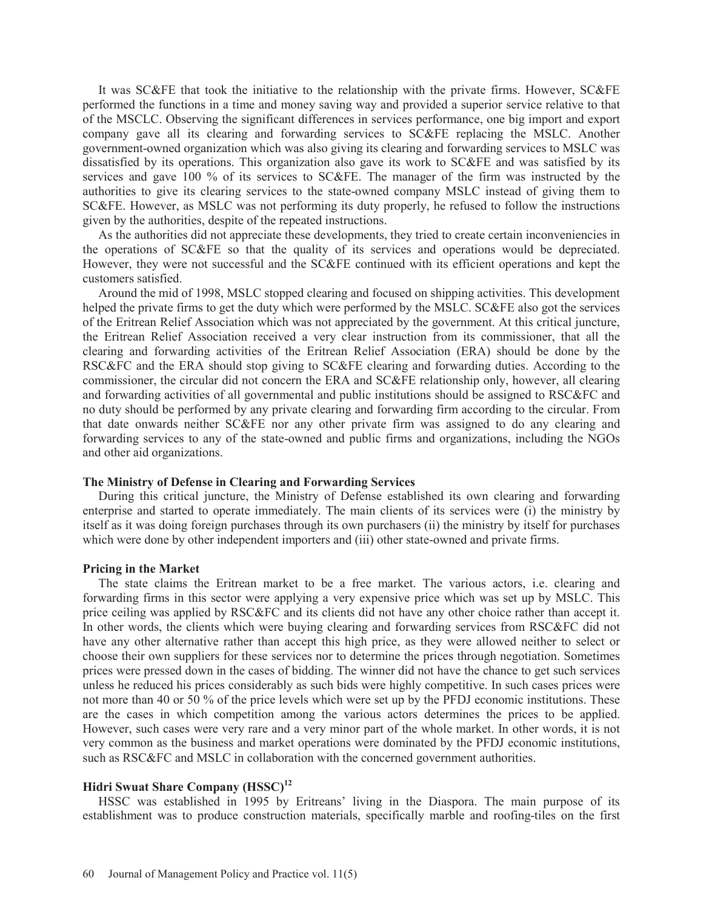It was SC&FE that took the initiative to the relationship with the private firms. However, SC&FE performed the functions in a time and money saving way and provided a superior service relative to that of the MSCLC. Observing the significant differences in services performance, one big import and export company gave all its clearing and forwarding services to SC&FE replacing the MSLC. Another government-owned organization which was also giving its clearing and forwarding services to MSLC was dissatisfied by its operations. This organization also gave its work to SC&FE and was satisfied by its services and gave 100 % of its services to SC&FE. The manager of the firm was instructed by the authorities to give its clearing services to the state-owned company MSLC instead of giving them to SC&FE. However, as MSLC was not performing its duty properly, he refused to follow the instructions given by the authorities, despite of the repeated instructions.

 As the authorities did not appreciate these developments, they tried to create certain inconveniencies in the operations of SC&FE so that the quality of its services and operations would be depreciated. However, they were not successful and the SC&FE continued with its efficient operations and kept the customers satisfied.

 Around the mid of 1998, MSLC stopped clearing and focused on shipping activities. This development helped the private firms to get the duty which were performed by the MSLC. SC&FE also got the services of the Eritrean Relief Association which was not appreciated by the government. At this critical juncture, the Eritrean Relief Association received a very clear instruction from its commissioner, that all the clearing and forwarding activities of the Eritrean Relief Association (ERA) should be done by the RSC&FC and the ERA should stop giving to SC&FE clearing and forwarding duties. According to the commissioner, the circular did not concern the ERA and SC&FE relationship only, however, all clearing and forwarding activities of all governmental and public institutions should be assigned to RSC&FC and no duty should be performed by any private clearing and forwarding firm according to the circular. From that date onwards neither SC&FE nor any other private firm was assigned to do any clearing and forwarding services to any of the state-owned and public firms and organizations, including the NGOs and other aid organizations.

#### **The Ministry of Defense in Clearing and Forwarding Services**

 During this critical juncture, the Ministry of Defense established its own clearing and forwarding enterprise and started to operate immediately. The main clients of its services were (i) the ministry by itself as it was doing foreign purchases through its own purchasers (ii) the ministry by itself for purchases which were done by other independent importers and (iii) other state-owned and private firms.

#### **Pricing in the Market**

 The state claims the Eritrean market to be a free market. The various actors, i.e. clearing and forwarding firms in this sector were applying a very expensive price which was set up by MSLC. This price ceiling was applied by RSC&FC and its clients did not have any other choice rather than accept it. In other words, the clients which were buying clearing and forwarding services from RSC&FC did not have any other alternative rather than accept this high price, as they were allowed neither to select or choose their own suppliers for these services nor to determine the prices through negotiation. Sometimes prices were pressed down in the cases of bidding. The winner did not have the chance to get such services unless he reduced his prices considerably as such bids were highly competitive. In such cases prices were not more than 40 or 50 % of the price levels which were set up by the PFDJ economic institutions. These are the cases in which competition among the various actors determines the prices to be applied. However, such cases were very rare and a very minor part of the whole market. In other words, it is not very common as the business and market operations were dominated by the PFDJ economic institutions, such as RSC&FC and MSLC in collaboration with the concerned government authorities.

# **Hidri Swuat Share Company (HSSC)<sup>12</sup>**

 HSSC was established in 1995 by Eritreans' living in the Diaspora. The main purpose of its establishment was to produce construction materials, specifically marble and roofing-tiles on the first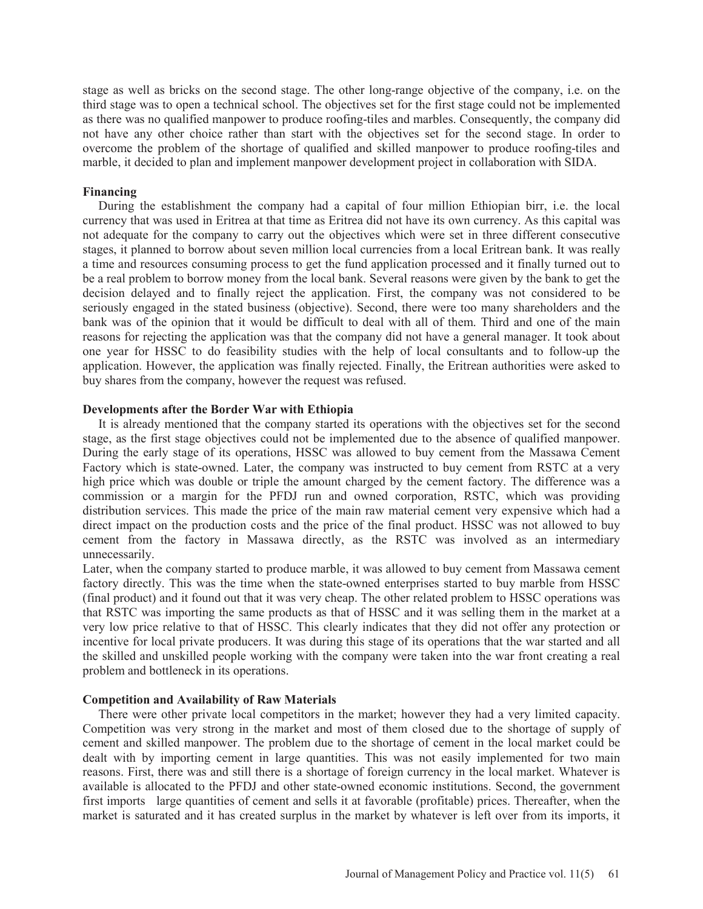stage as well as bricks on the second stage. The other long-range objective of the company, i.e. on the third stage was to open a technical school. The objectives set for the first stage could not be implemented as there was no qualified manpower to produce roofing-tiles and marbles. Consequently, the company did not have any other choice rather than start with the objectives set for the second stage. In order to overcome the problem of the shortage of qualified and skilled manpower to produce roofing-tiles and marble, it decided to plan and implement manpower development project in collaboration with SIDA.

### **Financing**

 During the establishment the company had a capital of four million Ethiopian birr, i.e. the local currency that was used in Eritrea at that time as Eritrea did not have its own currency. As this capital was not adequate for the company to carry out the objectives which were set in three different consecutive stages, it planned to borrow about seven million local currencies from a local Eritrean bank. It was really a time and resources consuming process to get the fund application processed and it finally turned out to be a real problem to borrow money from the local bank. Several reasons were given by the bank to get the decision delayed and to finally reject the application. First, the company was not considered to be seriously engaged in the stated business (objective). Second, there were too many shareholders and the bank was of the opinion that it would be difficult to deal with all of them. Third and one of the main reasons for rejecting the application was that the company did not have a general manager. It took about one year for HSSC to do feasibility studies with the help of local consultants and to follow-up the application. However, the application was finally rejected. Finally, the Eritrean authorities were asked to buy shares from the company, however the request was refused.

## **Developments after the Border War with Ethiopia**

 It is already mentioned that the company started its operations with the objectives set for the second stage, as the first stage objectives could not be implemented due to the absence of qualified manpower. During the early stage of its operations, HSSC was allowed to buy cement from the Massawa Cement Factory which is state-owned. Later, the company was instructed to buy cement from RSTC at a very high price which was double or triple the amount charged by the cement factory. The difference was a commission or a margin for the PFDJ run and owned corporation, RSTC, which was providing distribution services. This made the price of the main raw material cement very expensive which had a direct impact on the production costs and the price of the final product. HSSC was not allowed to buy cement from the factory in Massawa directly, as the RSTC was involved as an intermediary unnecessarily.

Later, when the company started to produce marble, it was allowed to buy cement from Massawa cement factory directly. This was the time when the state-owned enterprises started to buy marble from HSSC (final product) and it found out that it was very cheap. The other related problem to HSSC operations was that RSTC was importing the same products as that of HSSC and it was selling them in the market at a very low price relative to that of HSSC. This clearly indicates that they did not offer any protection or incentive for local private producers. It was during this stage of its operations that the war started and all the skilled and unskilled people working with the company were taken into the war front creating a real problem and bottleneck in its operations.

# **Competition and Availability of Raw Materials**

 There were other private local competitors in the market; however they had a very limited capacity. Competition was very strong in the market and most of them closed due to the shortage of supply of cement and skilled manpower. The problem due to the shortage of cement in the local market could be dealt with by importing cement in large quantities. This was not easily implemented for two main reasons. First, there was and still there is a shortage of foreign currency in the local market. Whatever is available is allocated to the PFDJ and other state-owned economic institutions. Second, the government first imports large quantities of cement and sells it at favorable (profitable) prices. Thereafter, when the market is saturated and it has created surplus in the market by whatever is left over from its imports, it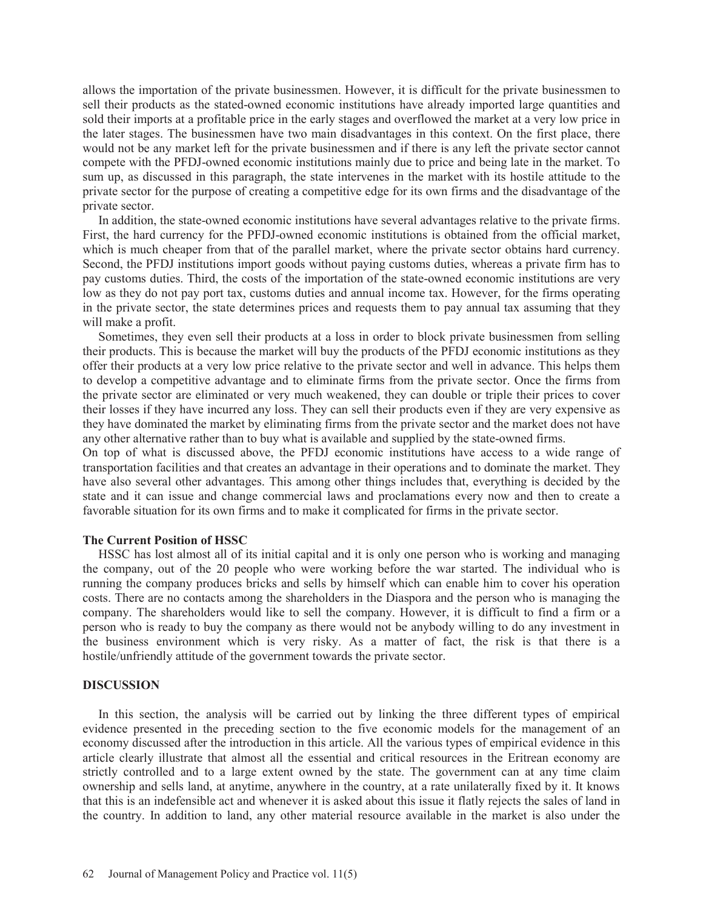allows the importation of the private businessmen. However, it is difficult for the private businessmen to sell their products as the stated-owned economic institutions have already imported large quantities and sold their imports at a profitable price in the early stages and overflowed the market at a very low price in the later stages. The businessmen have two main disadvantages in this context. On the first place, there would not be any market left for the private businessmen and if there is any left the private sector cannot compete with the PFDJ-owned economic institutions mainly due to price and being late in the market. To sum up, as discussed in this paragraph, the state intervenes in the market with its hostile attitude to the private sector for the purpose of creating a competitive edge for its own firms and the disadvantage of the private sector.

 In addition, the state-owned economic institutions have several advantages relative to the private firms. First, the hard currency for the PFDJ-owned economic institutions is obtained from the official market, which is much cheaper from that of the parallel market, where the private sector obtains hard currency. Second, the PFDJ institutions import goods without paying customs duties, whereas a private firm has to pay customs duties. Third, the costs of the importation of the state-owned economic institutions are very low as they do not pay port tax, customs duties and annual income tax. However, for the firms operating in the private sector, the state determines prices and requests them to pay annual tax assuming that they will make a profit.

 Sometimes, they even sell their products at a loss in order to block private businessmen from selling their products. This is because the market will buy the products of the PFDJ economic institutions as they offer their products at a very low price relative to the private sector and well in advance. This helps them to develop a competitive advantage and to eliminate firms from the private sector. Once the firms from the private sector are eliminated or very much weakened, they can double or triple their prices to cover their losses if they have incurred any loss. They can sell their products even if they are very expensive as they have dominated the market by eliminating firms from the private sector and the market does not have any other alternative rather than to buy what is available and supplied by the state-owned firms.

On top of what is discussed above, the PFDJ economic institutions have access to a wide range of transportation facilities and that creates an advantage in their operations and to dominate the market. They have also several other advantages. This among other things includes that, everything is decided by the state and it can issue and change commercial laws and proclamations every now and then to create a favorable situation for its own firms and to make it complicated for firms in the private sector.

### **The Current Position of HSSC**

 HSSC has lost almost all of its initial capital and it is only one person who is working and managing the company, out of the 20 people who were working before the war started. The individual who is running the company produces bricks and sells by himself which can enable him to cover his operation costs. There are no contacts among the shareholders in the Diaspora and the person who is managing the company. The shareholders would like to sell the company. However, it is difficult to find a firm or a person who is ready to buy the company as there would not be anybody willing to do any investment in the business environment which is very risky. As a matter of fact, the risk is that there is a hostile/unfriendly attitude of the government towards the private sector.

### **DISCUSSION**

 In this section, the analysis will be carried out by linking the three different types of empirical evidence presented in the preceding section to the five economic models for the management of an economy discussed after the introduction in this article. All the various types of empirical evidence in this article clearly illustrate that almost all the essential and critical resources in the Eritrean economy are strictly controlled and to a large extent owned by the state. The government can at any time claim ownership and sells land, at anytime, anywhere in the country, at a rate unilaterally fixed by it. It knows that this is an indefensible act and whenever it is asked about this issue it flatly rejects the sales of land in the country. In addition to land, any other material resource available in the market is also under the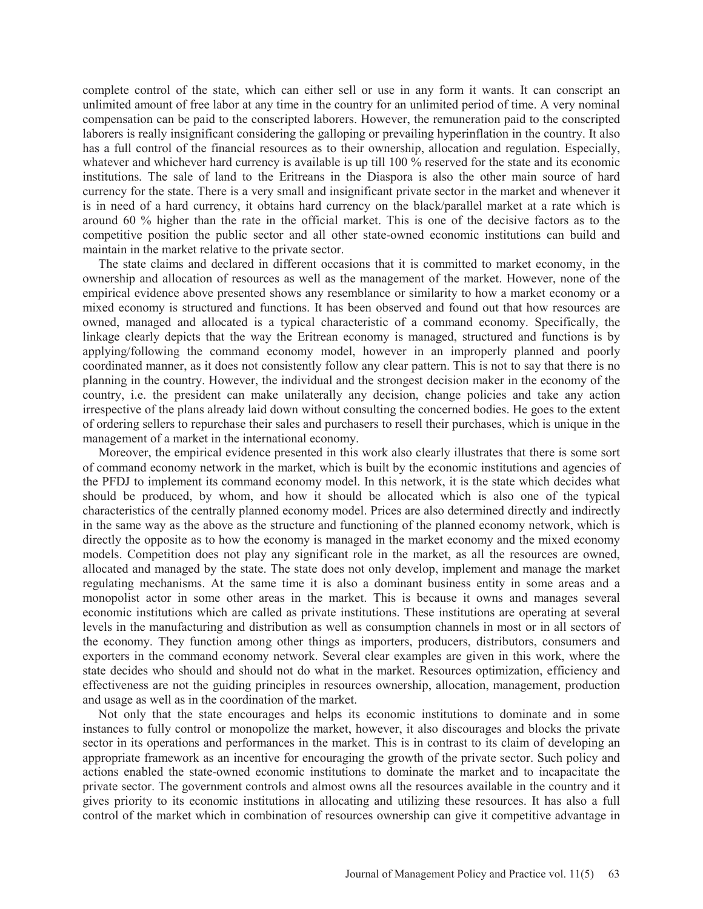complete control of the state, which can either sell or use in any form it wants. It can conscript an unlimited amount of free labor at any time in the country for an unlimited period of time. A very nominal compensation can be paid to the conscripted laborers. However, the remuneration paid to the conscripted laborers is really insignificant considering the galloping or prevailing hyperinflation in the country. It also has a full control of the financial resources as to their ownership, allocation and regulation. Especially, whatever and whichever hard currency is available is up till 100 % reserved for the state and its economic institutions. The sale of land to the Eritreans in the Diaspora is also the other main source of hard currency for the state. There is a very small and insignificant private sector in the market and whenever it is in need of a hard currency, it obtains hard currency on the black/parallel market at a rate which is around 60 % higher than the rate in the official market. This is one of the decisive factors as to the competitive position the public sector and all other state-owned economic institutions can build and maintain in the market relative to the private sector.

 The state claims and declared in different occasions that it is committed to market economy, in the ownership and allocation of resources as well as the management of the market. However, none of the empirical evidence above presented shows any resemblance or similarity to how a market economy or a mixed economy is structured and functions. It has been observed and found out that how resources are owned, managed and allocated is a typical characteristic of a command economy. Specifically, the linkage clearly depicts that the way the Eritrean economy is managed, structured and functions is by applying/following the command economy model, however in an improperly planned and poorly coordinated manner, as it does not consistently follow any clear pattern. This is not to say that there is no planning in the country. However, the individual and the strongest decision maker in the economy of the country, i.e. the president can make unilaterally any decision, change policies and take any action irrespective of the plans already laid down without consulting the concerned bodies. He goes to the extent of ordering sellers to repurchase their sales and purchasers to resell their purchases, which is unique in the management of a market in the international economy.

 Moreover, the empirical evidence presented in this work also clearly illustrates that there is some sort of command economy network in the market, which is built by the economic institutions and agencies of the PFDJ to implement its command economy model. In this network, it is the state which decides what should be produced, by whom, and how it should be allocated which is also one of the typical characteristics of the centrally planned economy model. Prices are also determined directly and indirectly in the same way as the above as the structure and functioning of the planned economy network, which is directly the opposite as to how the economy is managed in the market economy and the mixed economy models. Competition does not play any significant role in the market, as all the resources are owned, allocated and managed by the state. The state does not only develop, implement and manage the market regulating mechanisms. At the same time it is also a dominant business entity in some areas and a monopolist actor in some other areas in the market. This is because it owns and manages several economic institutions which are called as private institutions. These institutions are operating at several levels in the manufacturing and distribution as well as consumption channels in most or in all sectors of the economy. They function among other things as importers, producers, distributors, consumers and exporters in the command economy network. Several clear examples are given in this work, where the state decides who should and should not do what in the market. Resources optimization, efficiency and effectiveness are not the guiding principles in resources ownership, allocation, management, production and usage as well as in the coordination of the market.

 Not only that the state encourages and helps its economic institutions to dominate and in some instances to fully control or monopolize the market, however, it also discourages and blocks the private sector in its operations and performances in the market. This is in contrast to its claim of developing an appropriate framework as an incentive for encouraging the growth of the private sector. Such policy and actions enabled the state-owned economic institutions to dominate the market and to incapacitate the private sector. The government controls and almost owns all the resources available in the country and it gives priority to its economic institutions in allocating and utilizing these resources. It has also a full control of the market which in combination of resources ownership can give it competitive advantage in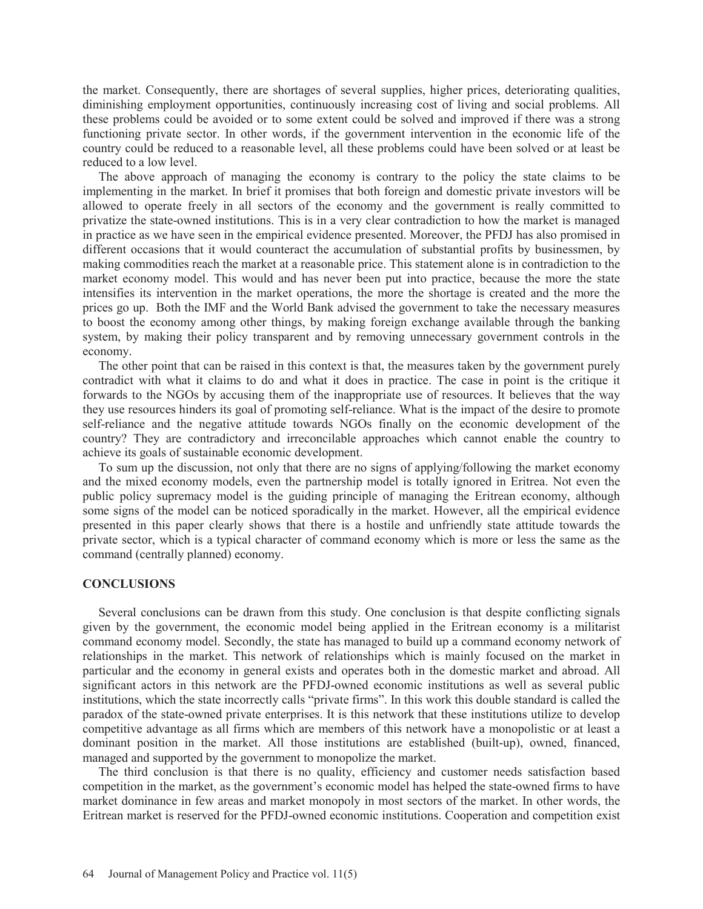the market. Consequently, there are shortages of several supplies, higher prices, deteriorating qualities, diminishing employment opportunities, continuously increasing cost of living and social problems. All these problems could be avoided or to some extent could be solved and improved if there was a strong functioning private sector. In other words, if the government intervention in the economic life of the country could be reduced to a reasonable level, all these problems could have been solved or at least be reduced to a low level.

 The above approach of managing the economy is contrary to the policy the state claims to be implementing in the market. In brief it promises that both foreign and domestic private investors will be allowed to operate freely in all sectors of the economy and the government is really committed to privatize the state-owned institutions. This is in a very clear contradiction to how the market is managed in practice as we have seen in the empirical evidence presented. Moreover, the PFDJ has also promised in different occasions that it would counteract the accumulation of substantial profits by businessmen, by making commodities reach the market at a reasonable price. This statement alone is in contradiction to the market economy model. This would and has never been put into practice, because the more the state intensifies its intervention in the market operations, the more the shortage is created and the more the prices go up. Both the IMF and the World Bank advised the government to take the necessary measures to boost the economy among other things, by making foreign exchange available through the banking system, by making their policy transparent and by removing unnecessary government controls in the economy.

 The other point that can be raised in this context is that, the measures taken by the government purely contradict with what it claims to do and what it does in practice. The case in point is the critique it forwards to the NGOs by accusing them of the inappropriate use of resources. It believes that the way they use resources hinders its goal of promoting self-reliance. What is the impact of the desire to promote self-reliance and the negative attitude towards NGOs finally on the economic development of the country? They are contradictory and irreconcilable approaches which cannot enable the country to achieve its goals of sustainable economic development.

 To sum up the discussion, not only that there are no signs of applying/following the market economy and the mixed economy models, even the partnership model is totally ignored in Eritrea. Not even the public policy supremacy model is the guiding principle of managing the Eritrean economy, although some signs of the model can be noticed sporadically in the market. However, all the empirical evidence presented in this paper clearly shows that there is a hostile and unfriendly state attitude towards the private sector, which is a typical character of command economy which is more or less the same as the command (centrally planned) economy.

### **CONCLUSIONS**

 Several conclusions can be drawn from this study. One conclusion is that despite conflicting signals given by the government, the economic model being applied in the Eritrean economy is a militarist command economy model. Secondly, the state has managed to build up a command economy network of relationships in the market. This network of relationships which is mainly focused on the market in particular and the economy in general exists and operates both in the domestic market and abroad. All significant actors in this network are the PFDJ-owned economic institutions as well as several public institutions, which the state incorrectly calls "private firms". In this work this double standard is called the paradox of the state-owned private enterprises. It is this network that these institutions utilize to develop competitive advantage as all firms which are members of this network have a monopolistic or at least a dominant position in the market. All those institutions are established (built-up), owned, financed, managed and supported by the government to monopolize the market.

 The third conclusion is that there is no quality, efficiency and customer needs satisfaction based competition in the market, as the government's economic model has helped the state-owned firms to have market dominance in few areas and market monopoly in most sectors of the market. In other words, the Eritrean market is reserved for the PFDJ-owned economic institutions. Cooperation and competition exist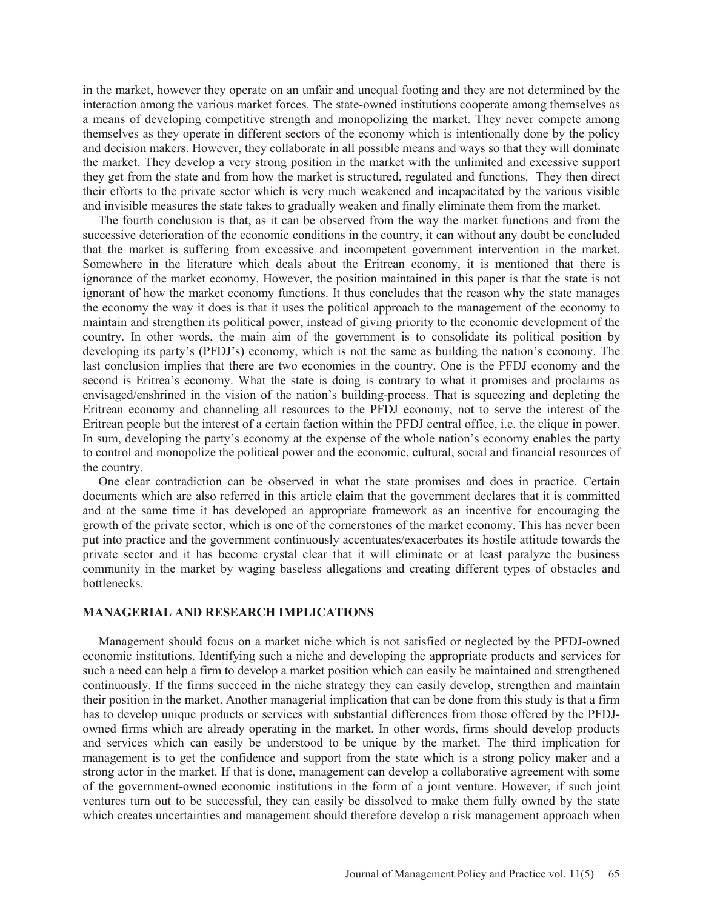in the market, however they operate on an unfair and unequal footing and they are not determined by the interaction among the various market forces. The state-owned institutions cooperate among themselves as a means of developing competitive strength and monopolizing the market. They never compete among themselves as they operate in different sectors of the economy which is intentionally done by the policy and decision makers. However, they collaborate in all possible means and ways so that they will dominate the market. They develop a very strong position in the market with the unlimited and excessive support they get from the state and from how the market is structured, regulated and functions. They then direct their efforts to the private sector which is very much weakened and incapacitated by the various visible and invisible measures the state takes to gradually weaken and finally eliminate them from the market.

 The fourth conclusion is that, as it can be observed from the way the market functions and from the successive deterioration of the economic conditions in the country, it can without any doubt be concluded that the market is suffering from excessive and incompetent government intervention in the market. Somewhere in the literature which deals about the Eritrean economy, it is mentioned that there is ignorance of the market economy. However, the position maintained in this paper is that the state is not ignorant of how the market economy functions. It thus concludes that the reason why the state manages the economy the way it does is that it uses the political approach to the management of the economy to maintain and strengthen its political power, instead of giving priority to the economic development of the country. In other words, the main aim of the government is to consolidate its political position by developing its party's (PFDJ's) economy, which is not the same as building the nation's economy. The last conclusion implies that there are two economies in the country. One is the PFDJ economy and the second is Eritrea's economy. What the state is doing is contrary to what it promises and proclaims as envisaged/enshrined in the vision of the nation's building-process. That is squeezing and depleting the Eritrean economy and channeling all resources to the PFDJ economy, not to serve the interest of the Eritrean people but the interest of a certain faction within the PFDJ central office, i.e. the clique in power. In sum, developing the party's economy at the expense of the whole nation's economy enables the party to control and monopolize the political power and the economic, cultural, social and financial resources of the country.

 One clear contradiction can be observed in what the state promises and does in practice. Certain documents which are also referred in this article claim that the government declares that it is committed and at the same time it has developed an appropriate framework as an incentive for encouraging the growth of the private sector, which is one of the cornerstones of the market economy. This has never been put into practice and the government continuously accentuates/exacerbates its hostile attitude towards the private sector and it has become crystal clear that it will eliminate or at least paralyze the business community in the market by waging baseless allegations and creating different types of obstacles and bottlenecks.

# **MANAGERIAL AND RESEARCH IMPLICATIONS**

 Management should focus on a market niche which is not satisfied or neglected by the PFDJ-owned economic institutions. Identifying such a niche and developing the appropriate products and services for such a need can help a firm to develop a market position which can easily be maintained and strengthened continuously. If the firms succeed in the niche strategy they can easily develop, strengthen and maintain their position in the market. Another managerial implication that can be done from this study is that a firm has to develop unique products or services with substantial differences from those offered by the PFDJowned firms which are already operating in the market. In other words, firms should develop products and services which can easily be understood to be unique by the market. The third implication for management is to get the confidence and support from the state which is a strong policy maker and a strong actor in the market. If that is done, management can develop a collaborative agreement with some of the government-owned economic institutions in the form of a joint venture. However, if such joint ventures turn out to be successful, they can easily be dissolved to make them fully owned by the state which creates uncertainties and management should therefore develop a risk management approach when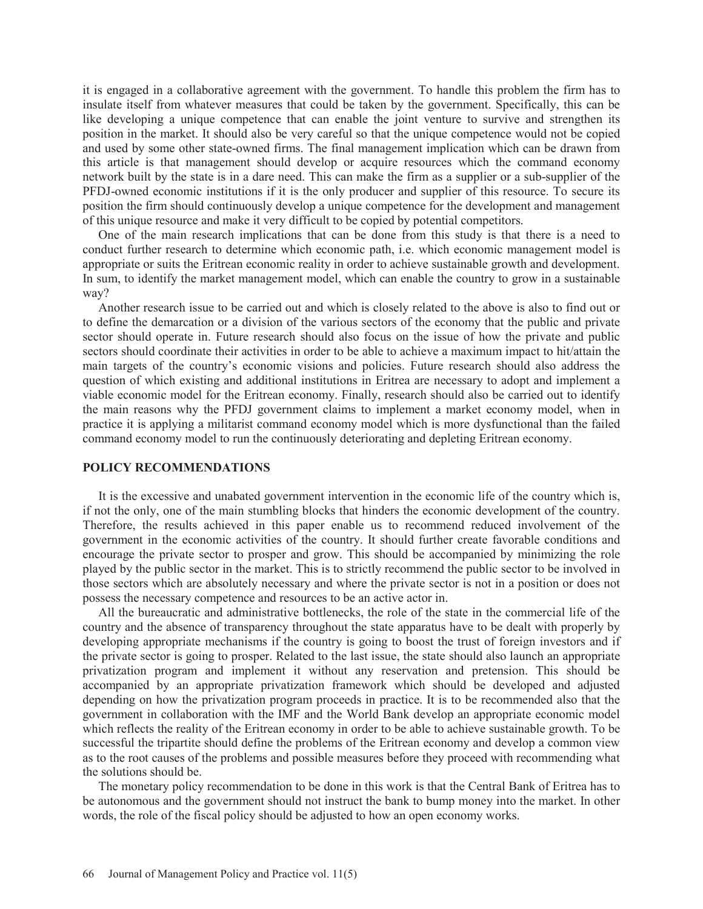it is engaged in a collaborative agreement with the government. To handle this problem the firm has to insulate itself from whatever measures that could be taken by the government. Specifically, this can be like developing a unique competence that can enable the joint venture to survive and strengthen its position in the market. It should also be very careful so that the unique competence would not be copied and used by some other state-owned firms. The final management implication which can be drawn from this article is that management should develop or acquire resources which the command economy network built by the state is in a dare need. This can make the firm as a supplier or a sub-supplier of the PFDJ-owned economic institutions if it is the only producer and supplier of this resource. To secure its position the firm should continuously develop a unique competence for the development and management of this unique resource and make it very difficult to be copied by potential competitors.

 One of the main research implications that can be done from this study is that there is a need to conduct further research to determine which economic path, i.e. which economic management model is appropriate or suits the Eritrean economic reality in order to achieve sustainable growth and development. In sum, to identify the market management model, which can enable the country to grow in a sustainable way?

 Another research issue to be carried out and which is closely related to the above is also to find out or to define the demarcation or a division of the various sectors of the economy that the public and private sector should operate in. Future research should also focus on the issue of how the private and public sectors should coordinate their activities in order to be able to achieve a maximum impact to hit/attain the main targets of the country's economic visions and policies. Future research should also address the question of which existing and additional institutions in Eritrea are necessary to adopt and implement a viable economic model for the Eritrean economy. Finally, research should also be carried out to identify the main reasons why the PFDJ government claims to implement a market economy model, when in practice it is applying a militarist command economy model which is more dysfunctional than the failed command economy model to run the continuously deteriorating and depleting Eritrean economy.

# **POLICY RECOMMENDATIONS**

 It is the excessive and unabated government intervention in the economic life of the country which is, if not the only, one of the main stumbling blocks that hinders the economic development of the country. Therefore, the results achieved in this paper enable us to recommend reduced involvement of the government in the economic activities of the country. It should further create favorable conditions and encourage the private sector to prosper and grow. This should be accompanied by minimizing the role played by the public sector in the market. This is to strictly recommend the public sector to be involved in those sectors which are absolutely necessary and where the private sector is not in a position or does not possess the necessary competence and resources to be an active actor in.

 All the bureaucratic and administrative bottlenecks, the role of the state in the commercial life of the country and the absence of transparency throughout the state apparatus have to be dealt with properly by developing appropriate mechanisms if the country is going to boost the trust of foreign investors and if the private sector is going to prosper. Related to the last issue, the state should also launch an appropriate privatization program and implement it without any reservation and pretension. This should be accompanied by an appropriate privatization framework which should be developed and adjusted depending on how the privatization program proceeds in practice. It is to be recommended also that the government in collaboration with the IMF and the World Bank develop an appropriate economic model which reflects the reality of the Eritrean economy in order to be able to achieve sustainable growth. To be successful the tripartite should define the problems of the Eritrean economy and develop a common view as to the root causes of the problems and possible measures before they proceed with recommending what the solutions should be.

 The monetary policy recommendation to be done in this work is that the Central Bank of Eritrea has to be autonomous and the government should not instruct the bank to bump money into the market. In other words, the role of the fiscal policy should be adjusted to how an open economy works.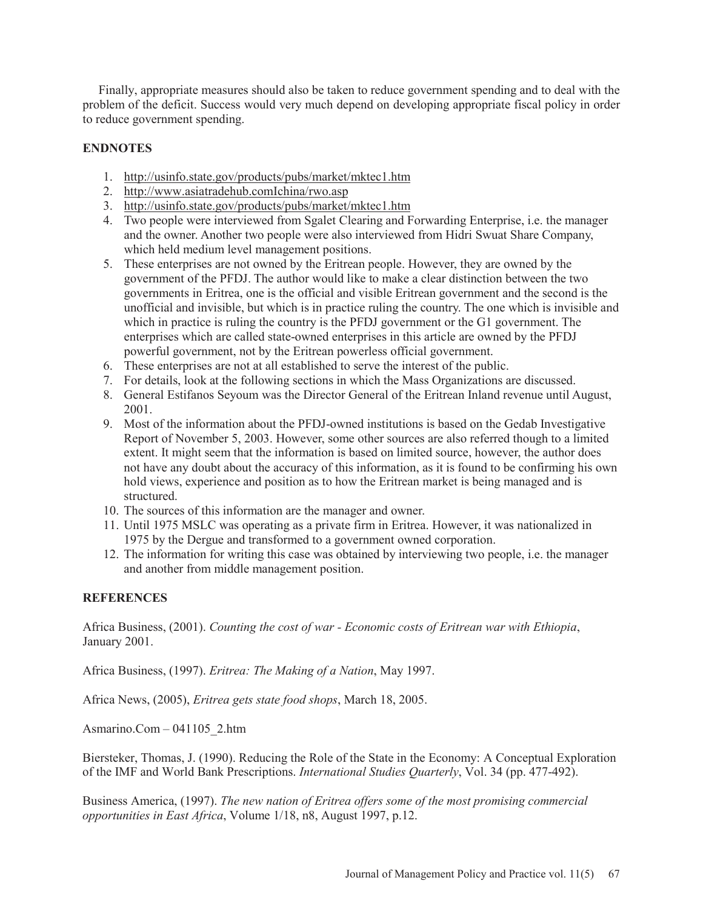Finally, appropriate measures should also be taken to reduce government spending and to deal with the problem of the deficit. Success would very much depend on developing appropriate fiscal policy in order to reduce government spending.

# **ENDNOTES**

- 1. http://usinfo.state.gov/products/pubs/market/mktec1.htm
- 2. http://www.asiatradehub.comIchina/rwo.asp
- 3. http://usinfo.state.gov/products/pubs/market/mktec1.htm
- 4. Two people were interviewed from Sgalet Clearing and Forwarding Enterprise, i.e. the manager and the owner. Another two people were also interviewed from Hidri Swuat Share Company, which held medium level management positions.
- 5. These enterprises are not owned by the Eritrean people. However, they are owned by the government of the PFDJ. The author would like to make a clear distinction between the two governments in Eritrea, one is the official and visible Eritrean government and the second is the unofficial and invisible, but which is in practice ruling the country. The one which is invisible and which in practice is ruling the country is the PFDJ government or the G1 government. The enterprises which are called state-owned enterprises in this article are owned by the PFDJ powerful government, not by the Eritrean powerless official government.
- 6. These enterprises are not at all established to serve the interest of the public.
- 7. For details, look at the following sections in which the Mass Organizations are discussed.
- 8. General Estifanos Seyoum was the Director General of the Eritrean Inland revenue until August, 2001.
- 9. Most of the information about the PFDJ-owned institutions is based on the Gedab Investigative Report of November 5, 2003. However, some other sources are also referred though to a limited extent. It might seem that the information is based on limited source, however, the author does not have any doubt about the accuracy of this information, as it is found to be confirming his own hold views, experience and position as to how the Eritrean market is being managed and is structured.
- 10. The sources of this information are the manager and owner.
- 11. Until 1975 MSLC was operating as a private firm in Eritrea. However, it was nationalized in 1975 by the Dergue and transformed to a government owned corporation.
- 12. The information for writing this case was obtained by interviewing two people, i.e. the manager and another from middle management position.

# **REFERENCES**

Africa Business, (2001). *Counting the cost of war - Economic costs of Eritrean war with Ethiopia*, January 2001.

Africa Business, (1997). *Eritrea: The Making of a Nation*, May 1997.

Africa News, (2005), *Eritrea gets state food shops*, March 18, 2005.

Asmarino.Com – 041105\_2.htm

Biersteker, Thomas, J. (1990). Reducing the Role of the State in the Economy: A Conceptual Exploration of the IMF and World Bank Prescriptions. *International Studies Quarterly*, Vol. 34 (pp. 477-492).

Business America, (1997). *The new nation of Eritrea offers some of the most promising commercial opportunities in East Africa*, Volume 1/18, n8, August 1997, p.12.